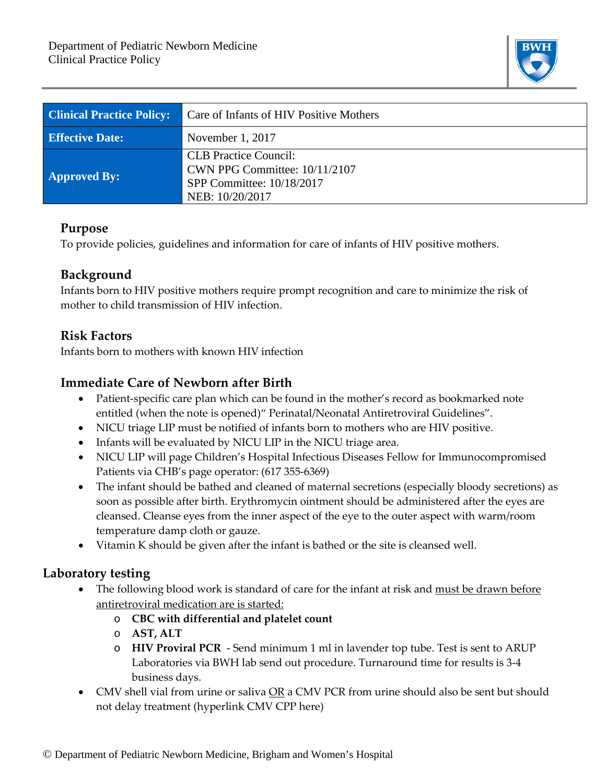

| <b>Clinical Practice Policy:</b> | Care of Infants of HIV Positive Mothers                                                                       |  |  |
|----------------------------------|---------------------------------------------------------------------------------------------------------------|--|--|
| <b>Effective Date:</b>           | November 1, 2017                                                                                              |  |  |
| <b>Approved By:</b>              | <b>CLB</b> Practice Council:<br>CWN PPG Committee: 10/11/2107<br>SPP Committee: 10/18/2017<br>NEB: 10/20/2017 |  |  |

#### **Purpose**

To provide policies, guidelines and information for care of infants of HIV positive mothers.

## **Background**

Infants born to HIV positive mothers require prompt recognition and care to minimize the risk of mother to child transmission of HIV infection.

## **Risk Factors**

Infants born to mothers with known HIV infection

## **Immediate Care of Newborn after Birth**

- Patient-specific care plan which can be found in the mother's record as bookmarked note entitled (when the note is opened)" Perinatal/Neonatal Antiretroviral Guidelines".
- NICU triage LIP must be notified of infants born to mothers who are HIV positive.
- Infants will be evaluated by NICU LIP in the NICU triage area.
- NICU LIP will page Children's Hospital Infectious Diseases Fellow for Immunocompromised Patients via CHB's page operator: (617 355-6369)
- The infant should be bathed and cleaned of maternal secretions (especially bloody secretions) as soon as possible after birth. Erythromycin ointment should be administered after the eyes are cleansed. Cleanse eyes from the inner aspect of the eye to the outer aspect with warm/room temperature damp cloth or gauze.
- Vitamin K should be given after the infant is bathed or the site is cleansed well.

## **Laboratory testing**

- The following blood work is standard of care for the infant at risk and must be drawn before antiretroviral medication are is started:
	- o **CBC with differential and platelet count**
	- o **AST, ALT**
	- o **HIV Proviral PCR** Send minimum 1 ml in lavender top tube. Test is sent to ARUP Laboratories via BWH lab send out procedure. Turnaround time for results is 3-4 business days.
- CMV shell vial from urine or saliva OR a CMV PCR from urine should also be sent but should not delay treatment (hyperlink CMV CPP here)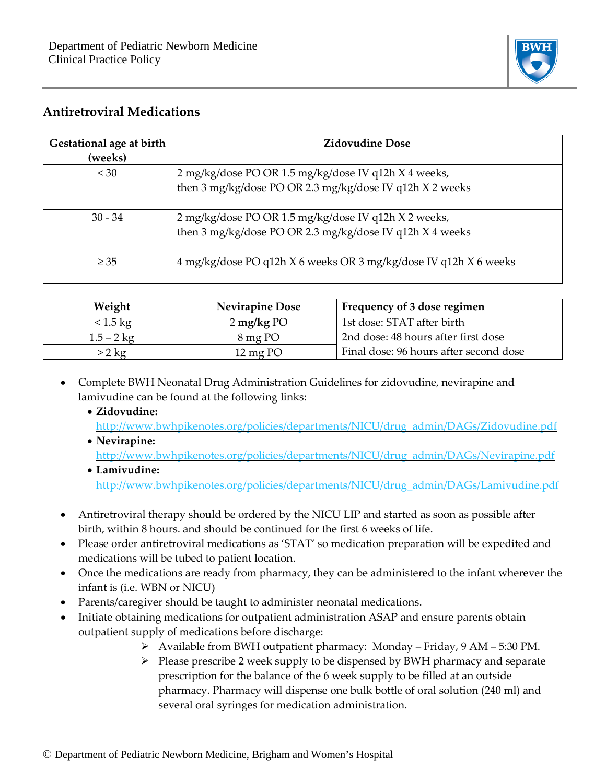

## **Antiretroviral Medications**

| Gestational age at birth<br>(weeks) | <b>Zidovudine Dose</b>                                           |
|-------------------------------------|------------------------------------------------------------------|
| < 30                                | 2 mg/kg/dose PO OR 1.5 mg/kg/dose IV q12h X 4 weeks,             |
|                                     | then 3 mg/kg/dose PO OR 2.3 mg/kg/dose IV q12h X 2 weeks         |
| $30 - 34$                           | 2 mg/kg/dose PO OR 1.5 mg/kg/dose IV q12h X 2 weeks,             |
|                                     | then 3 mg/kg/dose PO OR 2.3 mg/kg/dose IV q12h X 4 weeks         |
| $\geq$ 35                           | 4 mg/kg/dose PO q12h X 6 weeks OR 3 mg/kg/dose IV q12h X 6 weeks |

| Weight             | <b>Nevirapine Dose</b>  | Frequency of 3 dose regimen            |
|--------------------|-------------------------|----------------------------------------|
| $< 1.5 \text{ kg}$ | $2 \,\mathrm{mg/kg}$ PO | 1st dose: STAT after birth             |
| $1.5 - 2$ kg       | 8 mg PO                 | 2nd dose: 48 hours after first dose    |
| $>2$ kg            | $12 \,\mathrm{mg}$ PO   | Final dose: 96 hours after second dose |

- Complete BWH Neonatal Drug Administration Guidelines for zidovudine, nevirapine and lamivudine can be found at the following links:
	- **Zidovudine:** [http://www.bwhpikenotes.org/policies/departments/NICU/drug\\_admin/DAGs/Zidovudine.pdf](http://www.bwhpikenotes.org/policies/departments/NICU/drug_admin/DAGs/Zidovudine.pdf)
	- **Nevirapine:** [http://www.bwhpikenotes.org/policies/departments/NICU/drug\\_admin/DAGs/Nevirapine.pdf](http://www.bwhpikenotes.org/policies/departments/NICU/drug_admin/DAGs/Nevirapine.pdf)
	- **Lamivudine:** [http://www.bwhpikenotes.org/policies/departments/NICU/drug\\_admin/DAGs/Lamivudine.pdf](http://www.bwhpikenotes.org/policies/departments/NICU/drug_admin/DAGs/Lamivudine.pdf)
- Antiretroviral therapy should be ordered by the NICU LIP and started as soon as possible after birth, within 8 hours. and should be continued for the first 6 weeks of life.
- Please order antiretroviral medications as 'STAT' so medication preparation will be expedited and medications will be tubed to patient location.
- Once the medications are ready from pharmacy, they can be administered to the infant wherever the infant is (i.e. WBN or NICU)
- Parents/caregiver should be taught to administer neonatal medications.
- Initiate obtaining medications for outpatient administration ASAP and ensure parents obtain outpatient supply of medications before discharge:
	- Available from BWH outpatient pharmacy: Monday Friday, 9 AM 5:30 PM.
	- $\triangleright$  Please prescribe 2 week supply to be dispensed by BWH pharmacy and separate prescription for the balance of the 6 week supply to be filled at an outside pharmacy. Pharmacy will dispense one bulk bottle of oral solution (240 ml) and several oral syringes for medication administration.